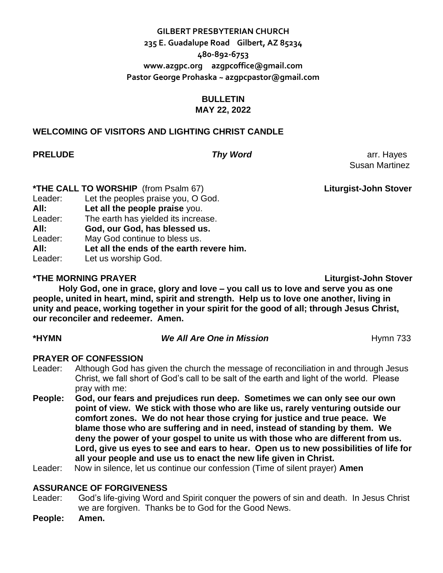# **GILBERT PRESBYTERIAN CHURCH 235 E. Guadalupe Road Gilbert, AZ 85234 480-892-6753 www.azgpc.org azgpcoffice@gmail.com Pastor George Prohaska ~ azgpcpastor@gmail.com**

# **BULLETIN**

# **MAY 22, 2022**

# **WELCOMING OF VISITORS AND LIGHTING CHRIST CANDLE**

**PRELUDE** *Thy Word* arr. Hayes Susan Martinez

**Liturgist-John Stover** 

| *THE CALL TO WORSHIP (from Psalm 67)      |
|-------------------------------------------|
| Let the peoples praise you, O God.        |
| Let all the people praise you.            |
| The earth has yielded its increase.       |
| God, our God, has blessed us.             |
| May God continue to bless us.             |
| Let all the ends of the earth revere him. |
| Let us worship God.                       |
|                                           |

# **\*THE MORNING PRAYER****Liturgist-John Stover**

**Holy God, one in grace, glory and love – you call us to love and serve you as one people, united in heart, mind, spirit and strength. Help us to love one another, living in unity and peace, working together in your spirit for the good of all; through Jesus Christ, our reconciler and redeemer. Amen.**

### **\*HYMN** *We All Are One in Mission*Hymn 733

# **PRAYER OF CONFESSION**

- Leader: Although God has given the church the message of reconciliation in and through Jesus Christ, we fall short of God's call to be salt of the earth and light of the world. Please pray with me:
- **People: God, our fears and prejudices run deep. Sometimes we can only see our own point of view. We stick with those who are like us, rarely venturing outside our comfort zones. We do not hear those crying for justice and true peace. We blame those who are suffering and in need, instead of standing by them. We deny the power of your gospel to unite us with those who are different from us. Lord, give us eyes to see and ears to hear. Open us to new possibilities of life for all your people and use us to enact the new life given in Christ.**
- Leader: Now in silence, let us continue our confession (Time of silent prayer) **Amen**

# **ASSURANCE OF FORGIVENESS**

- Leader: God's life-giving Word and Spirit conquer the powers of sin and death. In Jesus Christ we are forgiven. Thanks be to God for the Good News.
- **People: Amen.**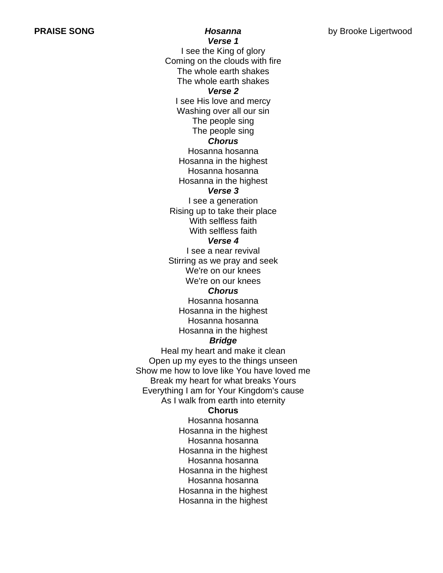*Verse 1* I see the King of glory Coming on the clouds with fire The whole earth shakes The whole earth shakes *Verse 2* I see His love and mercy Washing over all our sin The people sing The people sing *Chorus* Hosanna hosanna Hosanna in the highest Hosanna hosanna Hosanna in the highest *Verse 3* I see a generation Rising up to take their place With selfless faith With selfless faith *Verse 4* I see a near revival Stirring as we pray and seek We're on our knees We're on our knees *Chorus* Hosanna hosanna Hosanna in the highest Hosanna hosanna Hosanna in the highest *Bridge* Heal my heart and make it clean Open up my eyes to the things unseen

Show me how to love like You have loved me Break my heart for what breaks Yours Everything I am for Your Kingdom's cause As I walk from earth into eternity

### **Chorus**

Hosanna hosanna Hosanna in the highest Hosanna hosanna Hosanna in the highest Hosanna hosanna Hosanna in the highest Hosanna hosanna Hosanna in the highest Hosanna in the highest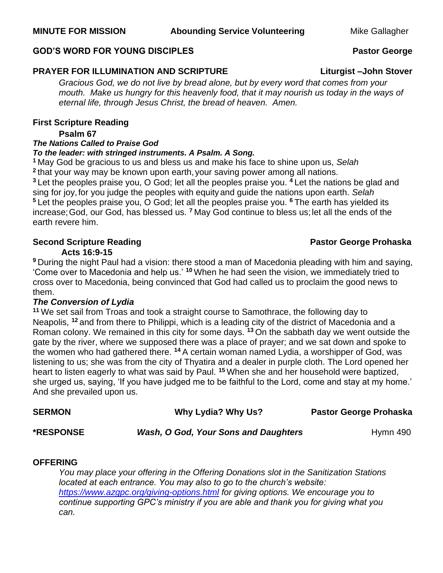# GOD'S WORD FOR YOUNG DISCIPLES **And Construct Construction of the Construction Centre in the Construction Centre in the Construction Centre in the Construction Centre in the Construction Centre in the Construction Centre i**

# **PRAYER FOR ILLUMINATION AND SCRIPTURE Liturgist –John Stover**

*Gracious God, we do not live by bread alone, but by every word that comes from your mouth. Make us hungry for this heavenly food, that it may nourish us today in the ways of eternal life, through Jesus Christ, the bread of heaven. Amen.*

# **First Scripture Reading**

**Psalm 67**

# *The Nations Called to Praise God*

### *To the leader: with stringed instruments. A Psalm. A Song.*

**<sup>1</sup>** May God be gracious to us and bless us and make his face to shine upon us, *Selah* **2** that your way may be known upon earth, your saving power among all nations.

**<sup>3</sup>** Let the peoples praise you, O God; let all the peoples praise you. **<sup>4</sup>** Let the nations be glad and sing for joy,for you judge the peoples with equityand guide the nations upon earth. *Selah* **<sup>5</sup>** Let the peoples praise you, O God; let all the peoples praise you. **<sup>6</sup>** The earth has yielded its increase;God, our God, has blessed us. **<sup>7</sup>** May God continue to bless us;let all the ends of the earth revere him.

# **Second Scripture Reading Constraining Second Scripture Reading Pastor George Prohaska Acts 16:9-15**

**<sup>9</sup>** During the night Paul had a vision: there stood a man of Macedonia pleading with him and saying, 'Come over to Macedonia and help us.' **<sup>10</sup>** When he had seen the vision, we immediately tried to cross over to Macedonia, being convinced that God had called us to proclaim the good news to them.

# *The Conversion of Lydia*

**<sup>11</sup>** We set sail from Troas and took a straight course to Samothrace, the following day to Neapolis, **<sup>12</sup>** and from there to Philippi, which is a leading city of the district of Macedonia and a Roman colony. We remained in this city for some days. **<sup>13</sup>** On the sabbath day we went outside the gate by the river, where we supposed there was a place of prayer; and we sat down and spoke to the women who had gathered there. **<sup>14</sup>** A certain woman named Lydia, a worshipper of God, was listening to us; she was from the city of Thyatira and a dealer in purple cloth. The Lord opened her heart to listen eagerly to what was said by Paul. **<sup>15</sup>** When she and her household were baptized, she urged us, saying, 'If you have judged me to be faithful to the Lord, come and stay at my home.' And she prevailed upon us.

| <b>SERMON</b> | Why Lydia? Why Us? | <b>Pastor George Prohaska</b> |
|---------------|--------------------|-------------------------------|
|               |                    |                               |

# \*RESPONSE *Wash, O God, Your Sons and Daughters* Hymn 490

# **OFFERING**

*You may place your offering in the Offering Donations slot in the Sanitization Stations located at each entrance. You may also to go to the church's website: <https://www.azgpc.org/giving-options.html> for giving options. We encourage you to continue supporting GPC's ministry if you are able and thank you for giving what you can.*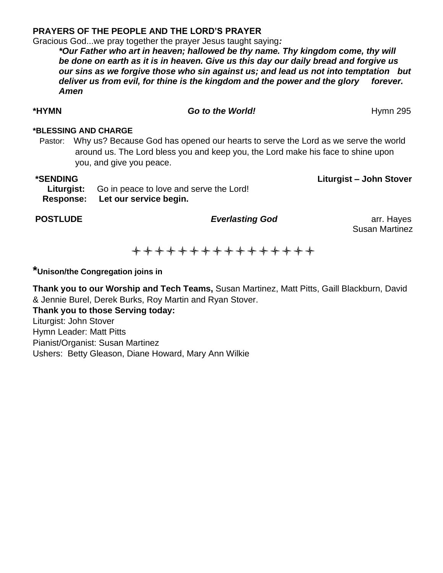# **PRAYERS OF THE PEOPLE AND THE LORD'S PRAYER**

Gracious God...we pray together the prayer Jesus taught saying*:* 

*\*Our Father who art in heaven; hallowed be thy name. Thy kingdom come, thy will be done on earth as it is in heaven. Give us this day our daily bread and forgive us our sins as we forgive those who sin against us; and lead us not into temptation but deliver us from evil, for thine is the kingdom and the power and the glory forever. Amen*

### **\*HYMN Go to the World! Go to the World! Hymn 295**

**\*BLESSING AND CHARGE** 

 Pastor: Why us? Because God has opened our hearts to serve the Lord as we serve the world around us. The Lord bless you and keep you, the Lord make his face to shine upon you, and give you peace.

### **\*SENDING Liturgist – John Stover**

 **Liturgist:** Go in peace to love and serve the Lord!  **Response: Let our service begin.**

**POSTLUDE Everlasting God arr. Hayes POSTLUDE** 

Susan Martinez

\*\*\*\*\*\*\*\*\*\*\*\*\*\*\*\*

**\*Unison/the Congregation joins in**

**Thank you to our Worship and Tech Teams,** Susan Martinez, Matt Pitts, Gaill Blackburn, David & Jennie Burel, Derek Burks, Roy Martin and Ryan Stover.

**Thank you to those Serving today:** Liturgist: John Stover Hymn Leader: Matt Pitts Pianist/Organist: Susan Martinez Ushers: Betty Gleason, Diane Howard, Mary Ann Wilkie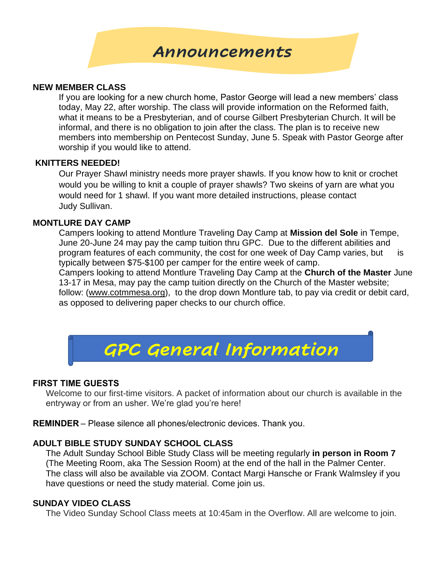# *Announcements*

### **NEW MEMBER CLASS**

If you are looking for a new church home, Pastor George will lead a new members' class today, May 22, after worship. The class will provide information on the Reformed faith, what it means to be a Presbyterian, and of course Gilbert Presbyterian Church. It will be informal, and there is no obligation to join after the class. The plan is to receive new members into membership on Pentecost Sunday, June 5. Speak with Pastor George after worship if you would like to attend.

### **KNITTERS NEEDED!**

Our Prayer Shawl ministry needs more prayer shawls. If you know how to knit or crochet would you be willing to knit a couple of prayer shawls? Two skeins of yarn are what you would need for 1 shawl. If you want more detailed instructions, please contact Judy Sullivan.

### **MONTLURE DAY CAMP**

Campers looking to attend Montlure Traveling Day Camp at **Mission del Sole** in Tempe, June 20-June 24 may pay the camp tuition thru GPC. Due to the different abilities and program features of each community, the cost for one week of Day Camp varies, but is typically between \$75-\$100 per camper for the entire week of camp.

Campers looking to attend Montlure Traveling Day Camp at the **Church of the Master** June 13-17 in Mesa, may pay the camp tuition directly on the Church of the Master website; follow: [\(www.cotmmesa.org\)](http://www.cotmmesa.org/), to the drop down Montlure tab, to pay via credit or debit card, as opposed to delivering paper checks to our church office.



### **FIRST TIME GUESTS**

Welcome to our first-time visitors. A packet of information about our church is available in the entryway or from an usher. We're glad you're here!

**REMINDER**– Please silence all phones/electronic devices. Thank you. 

### **ADULT BIBLE STUDY SUNDAY SCHOOL CLASS**

The Adult Sunday School Bible Study Class will be meeting regularly **in person in Room 7** (The Meeting Room, aka The Session Room) at the end of the hall in the Palmer Center. The class will also be available via ZOOM. Contact Margi Hansche or Frank Walmsley if you have questions or need the study material. Come join us.

### **SUNDAY VIDEO CLASS**

The Video Sunday School Class meets at 10:45am in the Overflow. All are welcome to join.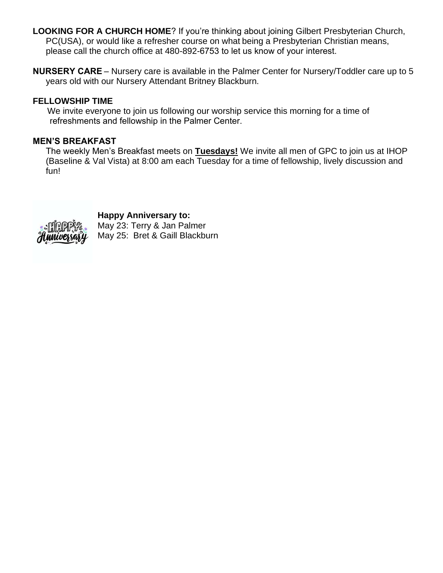- **LOOKING FOR A CHURCH HOME**? If you're thinking about joining Gilbert Presbyterian Church, PC(USA), or would like a refresher course on what being a Presbyterian Christian means, please call the church office at 480-892-6753 to let us know of your interest.
- **NURSERY CARE** Nursery care is available in the Palmer Center for Nursery/Toddler care up to 5 years old with our Nursery Attendant Britney Blackburn.

# **FELLOWSHIP TIME**

 We invite everyone to join us following our worship service this morning for a time of refreshments and fellowship in the Palmer Center. 

# **MEN'S BREAKFAST**

The weekly Men's Breakfast meets on **Tuesdays!** We invite all men of GPC to join us at IHOP (Baseline & Val Vista) at 8:00 am each Tuesday for a time of fellowship, lively discussion and fun!

# **Happy Anniversary to:**



May 23: Terry & Jan Palmer May 25: Bret & Gaill Blackburn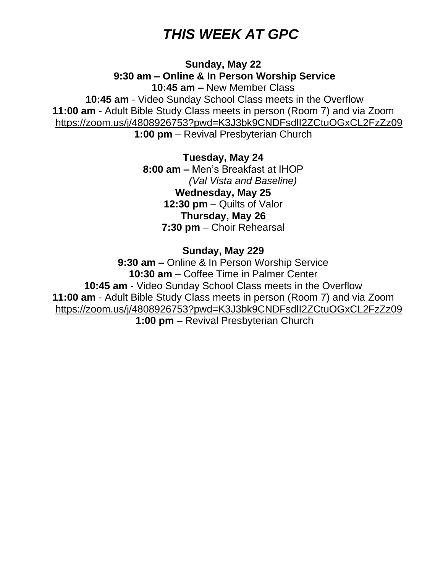# *THIS WEEK AT GPC*

**Sunday, May 22 9:30 am – Online & In Person Worship Service**

**10:45 am –** New Member Class

**10:45 am** - Video Sunday School Class meets in the Overflow **11:00 am** - Adult Bible Study Class meets in person (Room 7) and via Zoom [https://zoom.us/j/4808926753?pwd=K3J3bk9CNDFsdlI2ZCtuOGxCL2FzZz09](https://gmail.us3.list-manage.com/track/click?u=73bf8af53b10afb3b2c8dc7dc&id=d0da92252a&e=0a0b8a6045)

**1:00 pm** – Revival Presbyterian Church

**Tuesday, May 24 8:00 am –** Men's Breakfast at IHOP  *(Val Vista and Baseline)* **Wednesday, May 25 12:30 pm** – Quilts of Valor **Thursday, May 26 7:30 pm** – Choir Rehearsal

# **Sunday, May 229**

**9:30 am –** Online & In Person Worship Service **10:30 am** – Coffee Time in Palmer Center **10:45 am** - Video Sunday School Class meets in the Overflow **11:00 am** - Adult Bible Study Class meets in person (Room 7) and via Zoom [https://zoom.us/j/4808926753?pwd=K3J3bk9CNDFsdlI2ZCtuOGxCL2FzZz09](https://gmail.us3.list-manage.com/track/click?u=73bf8af53b10afb3b2c8dc7dc&id=d0da92252a&e=0a0b8a6045) **1:00 pm** – Revival Presbyterian Church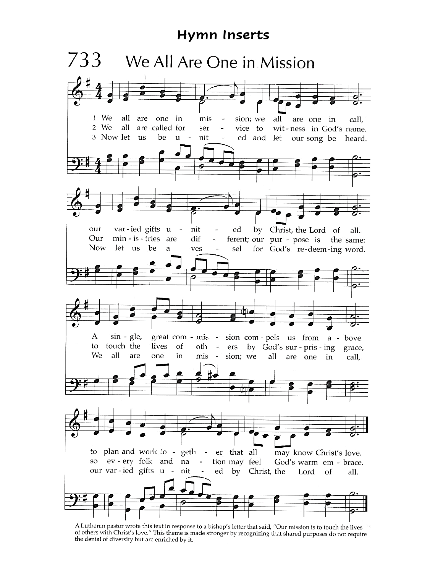# **Hymn Inserts**



A Lutheran pastor wrote this text in response to a bishop's letter that said, "Our mission is to touch the lives of others with Christ's love." This theme is made stronger by recognizing that shared purposes do not require the denial of diversity but are enriched by it.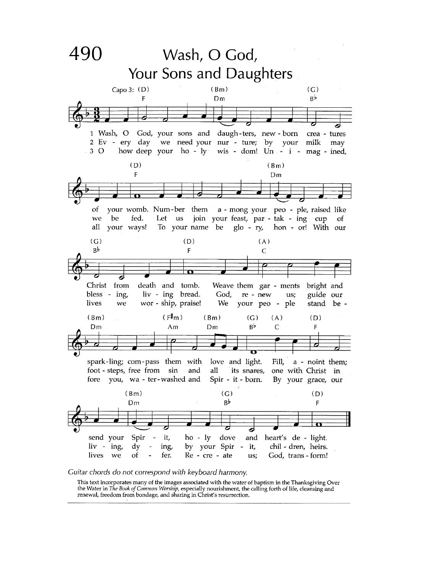

Guitar chords do not correspond with keyboard harmony.

This text incorporates many of the images associated with the water of baptism in the Thanksgiving Over the Water in The Book of Common Worship, especially nourishment, the calling forth of life, cleansing and renewal, freedom from bondage, and sharing in Christ's resurrection.